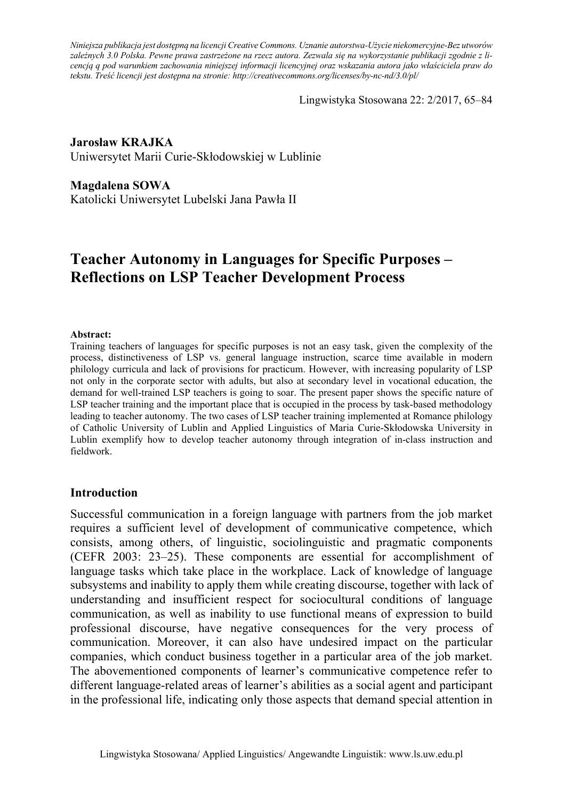*Niniejsza publikacja jest dostępną na licencji Creative Commons. Uznanie autorstwa-Użycie niekomercyjne-Bez utworów zależnych 3.0 Polska. Pewne prawa zastrzeżone na rzecz autora. Zezwala się na wykorzystanie publikacji zgodnie z licencją q pod warunkiem zachowania niniejszej informacji licencyjnej oraz wskazania autora jako właściciela praw do tekstu. Treść licencji jest dostępna na stronie: http://creativecommons.org/licenses/by-nc-nd/3.0/pl/*

Lingwistyka Stosowana 22: 2/2017, 65–84

### **Jarosław KRAJKA**

Uniwersytet Marii Curie-Skłodowskiej w Lublinie

#### **Magdalena SOWA**

Katolicki Uniwersytet Lubelski Jana Pawła II

# **Teacher Autonomy in Languages for Specific Purposes – Reflections on LSP Teacher Development Process**

#### **Abstract:**

Training teachers of languages for specific purposes is not an easy task, given the complexity of the process, distinctiveness of LSP vs. general language instruction, scarce time available in modern philology curricula and lack of provisions for practicum. However, with increasing popularity of LSP not only in the corporate sector with adults, but also at secondary level in vocational education, the demand for well-trained LSP teachers is going to soar. The present paper shows the specific nature of LSP teacher training and the important place that is occupied in the process by task-based methodology leading to teacher autonomy. The two cases of LSP teacher training implemented at Romance philology of Catholic University of Lublin and Applied Linguistics of Maria Curie-Skłodowska University in Lublin exemplify how to develop teacher autonomy through integration of in-class instruction and fieldwork.

### **Introduction**

Successful communication in a foreign language with partners from the job market requires a sufficient level of development of communicative competence, which consists, among others, of linguistic, sociolinguistic and pragmatic components (CEFR 2003: 23–25). These components are essential for accomplishment of language tasks which take place in the workplace. Lack of knowledge of language subsystems and inability to apply them while creating discourse, together with lack of understanding and insufficient respect for sociocultural conditions of language communication, as well as inability to use functional means of expression to build professional discourse, have negative consequences for the very process of communication. Moreover, it can also have undesired impact on the particular companies, which conduct business together in a particular area of the job market. The abovementioned components of learner's communicative competence refer to different language-related areas of learner's abilities as a social agent and participant in the professional life, indicating only those aspects that demand special attention in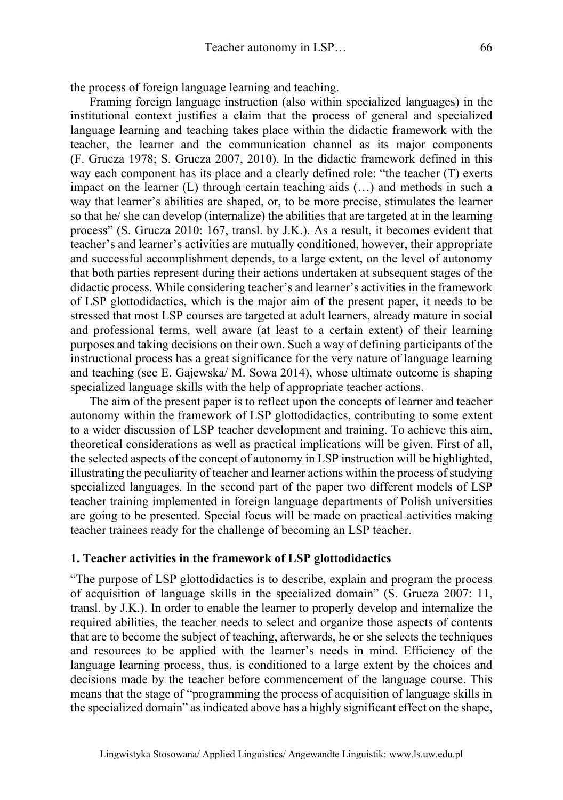the process of foreign language learning and teaching.

Framing foreign language instruction (also within specialized languages) in the institutional context justifies a claim that the process of general and specialized language learning and teaching takes place within the didactic framework with the teacher, the learner and the communication channel as its major components (F. Grucza 1978; S. Grucza 2007, 2010). In the didactic framework defined in this way each component has its place and a clearly defined role: "the teacher (T) exerts impact on the learner  $(L)$  through certain teaching aids  $(...)$  and methods in such a way that learner's abilities are shaped, or, to be more precise, stimulates the learner so that he/ she can develop (internalize) the abilities that are targeted at in the learning process" (S. Grucza 2010: 167, transl. by J.K.). As a result, it becomes evident that teacher's and learner's activities are mutually conditioned, however, their appropriate and successful accomplishment depends, to a large extent, on the level of autonomy that both parties represent during their actions undertaken at subsequent stages of the didactic process. While considering teacher's and learner's activities in the framework of LSP glottodidactics, which is the major aim of the present paper, it needs to be stressed that most LSP courses are targeted at adult learners, already mature in social and professional terms, well aware (at least to a certain extent) of their learning purposes and taking decisions on their own. Such a way of defining participants of the instructional process has a great significance for the very nature of language learning and teaching (see E. Gajewska/ M. Sowa 2014), whose ultimate outcome is shaping specialized language skills with the help of appropriate teacher actions.

The aim of the present paper is to reflect upon the concepts of learner and teacher autonomy within the framework of LSP glottodidactics, contributing to some extent to a wider discussion of LSP teacher development and training. To achieve this aim, theoretical considerations as well as practical implications will be given. First of all, the selected aspects of the concept of autonomy in LSP instruction will be highlighted, illustrating the peculiarity of teacher and learner actions within the process of studying specialized languages. In the second part of the paper two different models of LSP teacher training implemented in foreign language departments of Polish universities are going to be presented. Special focus will be made on practical activities making teacher trainees ready for the challenge of becoming an LSP teacher.

#### **1. Teacher activities in the framework of LSP glottodidactics**

"The purpose of LSP glottodidactics is to describe, explain and program the process of acquisition of language skills in the specialized domain" (S. Grucza 2007: 11, transl. by J.K.). In order to enable the learner to properly develop and internalize the required abilities, the teacher needs to select and organize those aspects of contents that are to become the subject of teaching, afterwards, he or she selects the techniques and resources to be applied with the learner's needs in mind. Efficiency of the language learning process, thus, is conditioned to a large extent by the choices and decisions made by the teacher before commencement of the language course. This means that the stage of "programming the process of acquisition of language skills in the specialized domain" as indicated above has a highly significant effect on the shape,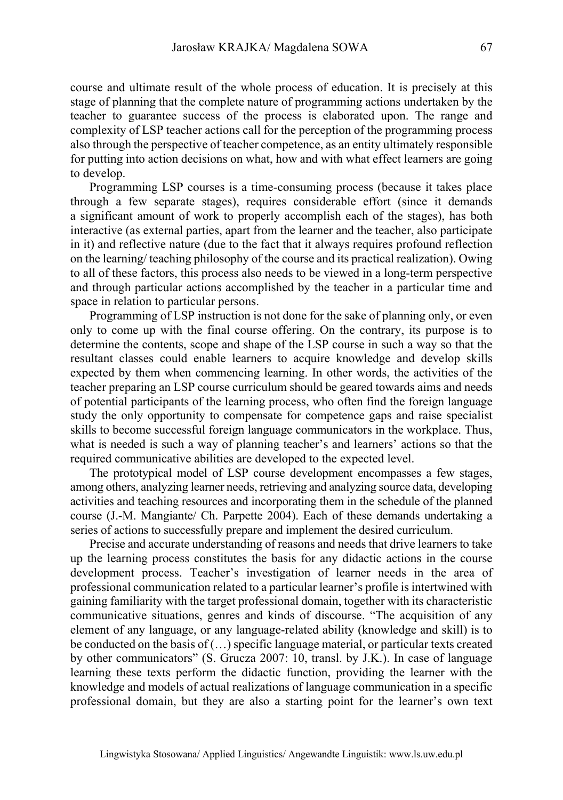course and ultimate result of the whole process of education. It is precisely at this stage of planning that the complete nature of programming actions undertaken by the teacher to guarantee success of the process is elaborated upon. The range and complexity of LSP teacher actions call for the perception of the programming process also through the perspective of teacher competence, as an entity ultimately responsible for putting into action decisions on what, how and with what effect learners are going to develop.

Programming LSP courses is a time-consuming process (because it takes place through a few separate stages), requires considerable effort (since it demands a significant amount of work to properly accomplish each of the stages), has both interactive (as external parties, apart from the learner and the teacher, also participate in it) and reflective nature (due to the fact that it always requires profound reflection on the learning/ teaching philosophy of the course and its practical realization). Owing to all of these factors, this process also needs to be viewed in a long-term perspective and through particular actions accomplished by the teacher in a particular time and space in relation to particular persons.

Programming of LSP instruction is not done for the sake of planning only, or even only to come up with the final course offering. On the contrary, its purpose is to determine the contents, scope and shape of the LSP course in such a way so that the resultant classes could enable learners to acquire knowledge and develop skills expected by them when commencing learning. In other words, the activities of the teacher preparing an LSP course curriculum should be geared towards aims and needs of potential participants of the learning process, who often find the foreign language study the only opportunity to compensate for competence gaps and raise specialist skills to become successful foreign language communicators in the workplace. Thus, what is needed is such a way of planning teacher's and learners' actions so that the required communicative abilities are developed to the expected level.

The prototypical model of LSP course development encompasses a few stages, among others, analyzing learner needs, retrieving and analyzing source data, developing activities and teaching resources and incorporating them in the schedule of the planned course (J.-M. Mangiante/ Ch. Parpette 2004). Each of these demands undertaking a series of actions to successfully prepare and implement the desired curriculum.

Precise and accurate understanding of reasons and needs that drive learners to take up the learning process constitutes the basis for any didactic actions in the course development process. Teacher's investigation of learner needs in the area of professional communication related to a particular learner's profile is intertwined with gaining familiarity with the target professional domain, together with its characteristic communicative situations, genres and kinds of discourse. "The acquisition of any element of any language, or any language-related ability (knowledge and skill) is to be conducted on the basis of (…) specific language material, or particular texts created by other communicators" (S. Grucza 2007: 10, transl. by J.K.). In case of language learning these texts perform the didactic function, providing the learner with the knowledge and models of actual realizations of language communication in a specific professional domain, but they are also a starting point for the learner's own text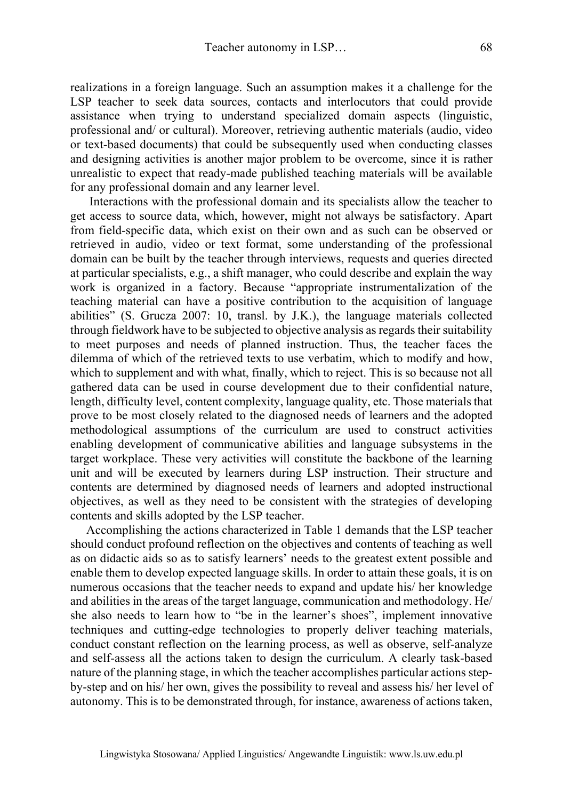realizations in a foreign language. Such an assumption makes it a challenge for the LSP teacher to seek data sources, contacts and interlocutors that could provide assistance when trying to understand specialized domain aspects (linguistic, professional and/ or cultural). Moreover, retrieving authentic materials (audio, video or text-based documents) that could be subsequently used when conducting classes and designing activities is another major problem to be overcome, since it is rather unrealistic to expect that ready-made published teaching materials will be available for any professional domain and any learner level.

Interactions with the professional domain and its specialists allow the teacher to get access to source data, which, however, might not always be satisfactory. Apart from field-specific data, which exist on their own and as such can be observed or retrieved in audio, video or text format, some understanding of the professional domain can be built by the teacher through interviews, requests and queries directed at particular specialists, e.g., a shift manager, who could describe and explain the way work is organized in a factory. Because "appropriate instrumentalization of the teaching material can have a positive contribution to the acquisition of language abilities" (S. Grucza 2007: 10, transl. by J.K.), the language materials collected through fieldwork have to be subjected to objective analysis as regards their suitability to meet purposes and needs of planned instruction. Thus, the teacher faces the dilemma of which of the retrieved texts to use verbatim, which to modify and how, which to supplement and with what, finally, which to reject. This is so because not all gathered data can be used in course development due to their confidential nature, length, difficulty level, content complexity, language quality, etc. Those materials that prove to be most closely related to the diagnosed needs of learners and the adopted methodological assumptions of the curriculum are used to construct activities enabling development of communicative abilities and language subsystems in the target workplace. These very activities will constitute the backbone of the learning unit and will be executed by learners during LSP instruction. Their structure and contents are determined by diagnosed needs of learners and adopted instructional objectives, as well as they need to be consistent with the strategies of developing contents and skills adopted by the LSP teacher.

Accomplishing the actions characterized in Table 1 demands that the LSP teacher should conduct profound reflection on the objectives and contents of teaching as well as on didactic aids so as to satisfy learners' needs to the greatest extent possible and enable them to develop expected language skills. In order to attain these goals, it is on numerous occasions that the teacher needs to expand and update his/ her knowledge and abilities in the areas of the target language, communication and methodology. He/ she also needs to learn how to "be in the learner's shoes", implement innovative techniques and cutting-edge technologies to properly deliver teaching materials, conduct constant reflection on the learning process, as well as observe, self-analyze and self-assess all the actions taken to design the curriculum. A clearly task-based nature of the planning stage, in which the teacher accomplishes particular actions stepby-step and on his/ her own, gives the possibility to reveal and assess his/ her level of autonomy. This is to be demonstrated through, for instance, awareness of actions taken,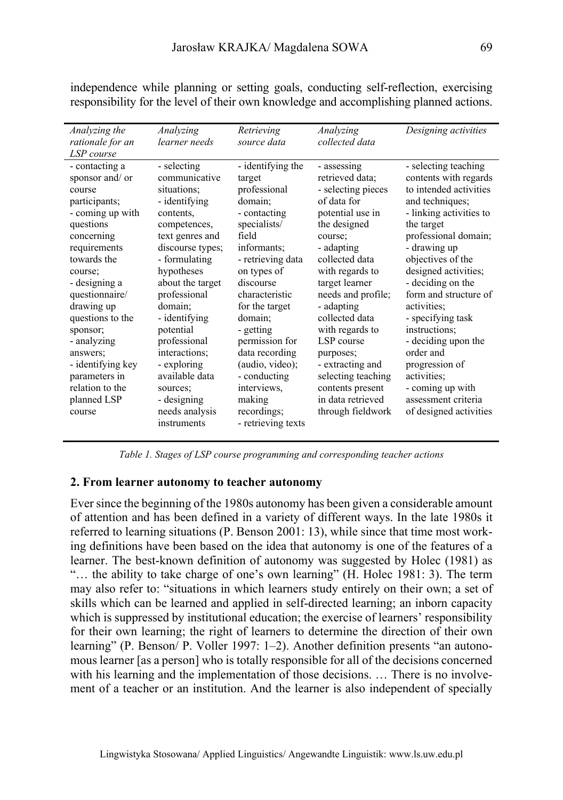| Analyzing the<br>rationale for an<br>LSP course                                                                                                                                                                                                                                                                                                     | Analyzing<br>learner needs                                                                                                                                                                                                                                                                                                                                                 | Retrieving<br>source data                                                                                                                                                                                                                                                                                                                                        | Analyzing<br>collected data                                                                                                                                                                                                                                                                                                                                                                         | Designing activities                                                                                                                                                                                                                                                                                                                                                                                                                                                  |
|-----------------------------------------------------------------------------------------------------------------------------------------------------------------------------------------------------------------------------------------------------------------------------------------------------------------------------------------------------|----------------------------------------------------------------------------------------------------------------------------------------------------------------------------------------------------------------------------------------------------------------------------------------------------------------------------------------------------------------------------|------------------------------------------------------------------------------------------------------------------------------------------------------------------------------------------------------------------------------------------------------------------------------------------------------------------------------------------------------------------|-----------------------------------------------------------------------------------------------------------------------------------------------------------------------------------------------------------------------------------------------------------------------------------------------------------------------------------------------------------------------------------------------------|-----------------------------------------------------------------------------------------------------------------------------------------------------------------------------------------------------------------------------------------------------------------------------------------------------------------------------------------------------------------------------------------------------------------------------------------------------------------------|
| - contacting a<br>sponsor and/ or<br>course<br>participants;<br>- coming up with<br>questions<br>concerning<br>requirements<br>towards the<br>course:<br>- designing a<br>questionnaire/<br>drawing up<br>questions to the<br>sponsor;<br>- analyzing<br>answers;<br>- identifying key<br>parameters in<br>relation to the<br>planned LSP<br>course | - selecting<br>communicative<br>situations:<br>- identifying<br>contents.<br>competences,<br>text genres and<br>discourse types;<br>- formulating<br>hypotheses<br>about the target<br>professional<br>domain:<br>- identifying<br>potential<br>professional<br>interactions:<br>- exploring<br>available data<br>sources:<br>- designing<br>needs analysis<br>instruments | - identifying the<br>target<br>professional<br>domain:<br>- contacting<br>specialists/<br>field<br>informants;<br>- retrieving data<br>on types of<br>discourse<br>characteristic<br>for the target<br>domain:<br>- getting<br>permission for<br>data recording<br>(audio, video);<br>- conducting<br>interviews,<br>making<br>recordings;<br>- retrieving texts | - assessing<br>retrieved data;<br>- selecting pieces<br>of data for<br>potential use in<br>the designed<br>course:<br>- adapting<br>collected data<br>with regards to<br>target learner<br>needs and profile;<br>- adapting<br>collected data<br>with regards to<br>LSP course<br>purposes;<br>- extracting and<br>selecting teaching<br>contents present<br>in data retrieved<br>through fieldwork | - selecting teaching<br>contents with regards<br>to intended activities<br>and techniques;<br>- linking activities to<br>the target<br>professional domain;<br>- drawing up<br>objectives of the<br>designed activities;<br>- deciding on the<br>form and structure of<br>activities:<br>- specifying task<br>instructions;<br>- deciding upon the<br>order and<br>progression of<br>activities;<br>- coming up with<br>assessment criteria<br>of designed activities |
|                                                                                                                                                                                                                                                                                                                                                     |                                                                                                                                                                                                                                                                                                                                                                            |                                                                                                                                                                                                                                                                                                                                                                  |                                                                                                                                                                                                                                                                                                                                                                                                     |                                                                                                                                                                                                                                                                                                                                                                                                                                                                       |

independence while planning or setting goals, conducting self-reflection, exercising responsibility for the level of their own knowledge and accomplishing planned actions.

*Table 1. Stages of LSP course programming and corresponding teacher actions* 

#### **2. From learner autonomy to teacher autonomy**

Ever since the beginning of the 1980s autonomy has been given a considerable amount of attention and has been defined in a variety of different ways. In the late 1980s it referred to learning situations (P. Benson 2001: 13), while since that time most working definitions have been based on the idea that autonomy is one of the features of a learner. The best-known definition of autonomy was suggested by Holec (1981) as "… the ability to take charge of one's own learning" (H. Holec 1981: 3). The term may also refer to: "situations in which learners study entirely on their own; a set of skills which can be learned and applied in self-directed learning; an inborn capacity which is suppressed by institutional education; the exercise of learners' responsibility for their own learning; the right of learners to determine the direction of their own learning" (P. Benson/ P. Voller 1997: 1–2). Another definition presents "an autonomous learner [as a person] who is totally responsible for all of the decisions concerned with his learning and the implementation of those decisions. ... There is no involvement of a teacher or an institution. And the learner is also independent of specially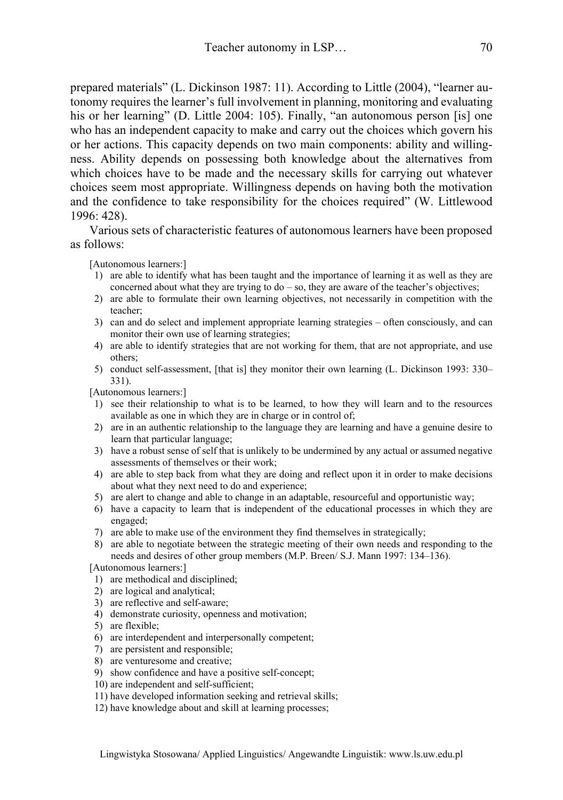prepared materials" (L. Dickinson 1987: 11). According to Little (2004), "learner autonomy requires the learner's full involvement in planning, monitoring and evaluating his or her learning" (D. Little 2004: 105). Finally, "an autonomous person [is] one who has an independent capacity to make and carry out the choices which govern his or her actions. This capacity depends on two main components: ability and willingness. Ability depends on possessing both knowledge about the alternatives from which choices have to be made and the necessary skills for carrying out whatever choices seem most appropriate. Willingness depends on having both the motivation and the confidence to take responsibility for the choices required" (W. Littlewood 1996: 428).

Various sets of characteristic features of autonomous learners have been proposed as follows:

[Autonomous learners:]

- 1) are able to identify what has been taught and the importance of learning it as well as they are concerned about what they are trying to  $do - so$ , they are aware of the teacher's objectives;
- 2) are able to formulate their own learning objectives, not necessarily in competition with the teacher;
- 3) can and do select and implement appropriate learning strategies often consciously, and can monitor their own use of learning strategies;
- 4) are able to identify strategies that are not working for them, that are not appropriate, and use others;
- 5) conduct self-assessment, [that is] they monitor their own learning (L. Dickinson 1993: 330– 331).

[Autonomous learners:]

- 1) see their relationship to what is to be learned, to how they will learn and to the resources available as one in which they are in charge or in control of;
- 2) are in an authentic relationship to the language they are learning and have a genuine desire to learn that particular language;
- 3) have a robust sense of self that is unlikely to be undermined by any actual or assumed negative assessments of themselves or their work;
- 4) are able to step back from what they are doing and reflect upon it in order to make decisions about what they next need to do and experience;
- 5) are alert to change and able to change in an adaptable, resourceful and opportunistic way;
- 6) have a capacity to learn that is independent of the educational processes in which they are engaged;
- 7) are able to make use of the environment they find themselves in strategically;
- 8) are able to negotiate between the strategic meeting of their own needs and responding to the needs and desires of other group members (M.P. Breen/ S.J. Mann 1997: 134–136).

[Autonomous learners:]

- 1) are methodical and disciplined;
- 2) are logical and analytical;
- 3) are reflective and self-aware;
- 4) demonstrate curiosity, openness and motivation;
- 5) are flexible;
- 6) are interdependent and interpersonally competent;
- 7) are persistent and responsible;
- 8) are venturesome and creative;
- 9) show confidence and have a positive self-concept;
- 10) are independent and self-sufficient;
- 11) have developed information seeking and retrieval skills;
- 12) have knowledge about and skill at learning processes;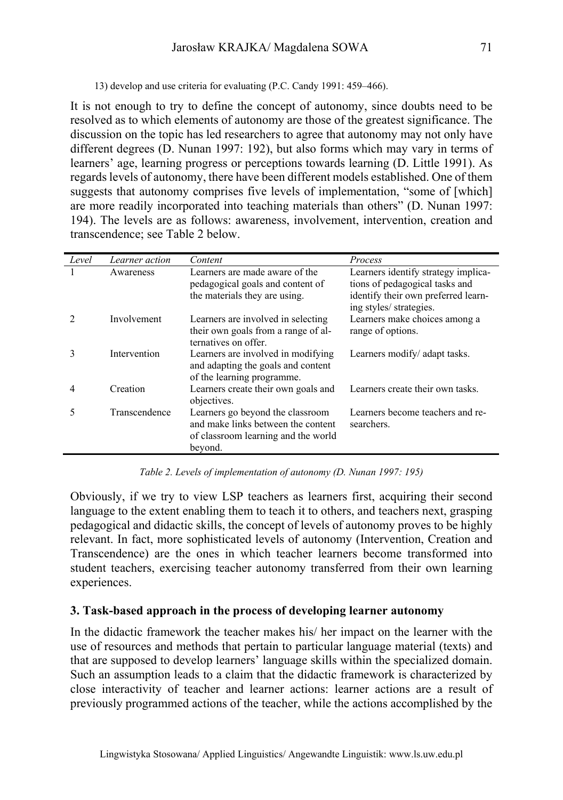### 13) develop and use criteria for evaluating (P.C. Candy 1991: 459–466).

It is not enough to try to define the concept of autonomy, since doubts need to be resolved as to which elements of autonomy are those of the greatest significance. The discussion on the topic has led researchers to agree that autonomy may not only have different degrees (D. Nunan 1997: 192), but also forms which may vary in terms of learners' age, learning progress or perceptions towards learning (D. Little 1991). As regards levels of autonomy, there have been different models established. One of them suggests that autonomy comprises five levels of implementation, "some of [which] are more readily incorporated into teaching materials than others" (D. Nunan 1997: 194). The levels are as follows: awareness, involvement, intervention, creation and transcendence; see Table 2 below.

| Level | Learner action | Content                                                                                                                  | Process                                                                                                                                 |
|-------|----------------|--------------------------------------------------------------------------------------------------------------------------|-----------------------------------------------------------------------------------------------------------------------------------------|
|       | Awareness      | Learners are made aware of the<br>pedagogical goals and content of<br>the materials they are using.                      | Learners identify strategy implica-<br>tions of pedagogical tasks and<br>identify their own preferred learn-<br>ing styles/ strategies. |
|       | Involvement    | Learners are involved in selecting<br>their own goals from a range of al-<br>ternatives on offer.                        | Learners make choices among a<br>range of options.                                                                                      |
| 3     | Intervention   | Learners are involved in modifying<br>and adapting the goals and content<br>of the learning programme.                   | Learners modify/ adapt tasks.                                                                                                           |
|       | Creation       | Learners create their own goals and<br>objectives.                                                                       | Learners create their own tasks.                                                                                                        |
| 5     | Transcendence  | Learners go beyond the classroom<br>and make links between the content<br>of classroom learning and the world<br>beyond. | Learners become teachers and re-<br>searchers.                                                                                          |

*Table 2. Levels of implementation of autonomy (D. Nunan 1997: 195)*

Obviously, if we try to view LSP teachers as learners first, acquiring their second language to the extent enabling them to teach it to others, and teachers next, grasping pedagogical and didactic skills, the concept of levels of autonomy proves to be highly relevant. In fact, more sophisticated levels of autonomy (Intervention, Creation and Transcendence) are the ones in which teacher learners become transformed into student teachers, exercising teacher autonomy transferred from their own learning experiences.

## **3. Task-based approach in the process of developing learner autonomy**

In the didactic framework the teacher makes his/ her impact on the learner with the use of resources and methods that pertain to particular language material (texts) and that are supposed to develop learners' language skills within the specialized domain. Such an assumption leads to a claim that the didactic framework is characterized by close interactivity of teacher and learner actions: learner actions are a result of previously programmed actions of the teacher, while the actions accomplished by the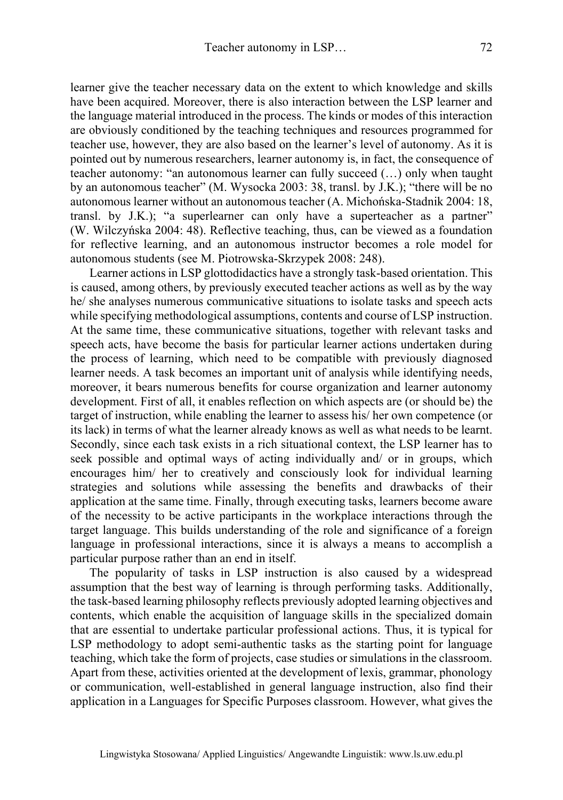learner give the teacher necessary data on the extent to which knowledge and skills have been acquired. Moreover, there is also interaction between the LSP learner and the language material introduced in the process. The kinds or modes of this interaction are obviously conditioned by the teaching techniques and resources programmed for teacher use, however, they are also based on the learner's level of autonomy. As it is pointed out by numerous researchers, learner autonomy is, in fact, the consequence of teacher autonomy: "an autonomous learner can fully succeed (…) only when taught by an autonomous teacher" (M. Wysocka 2003: 38, transl. by J.K.); "there will be no autonomous learner without an autonomous teacher (A. Michońska-Stadnik 2004: 18, transl. by J.K.); "a superlearner can only have a superteacher as a partner" (W. Wilczyńska 2004: 48). Reflective teaching, thus, can be viewed as a foundation for reflective learning, and an autonomous instructor becomes a role model for autonomous students (see M. Piotrowska-Skrzypek 2008: 248).

Learner actions in LSP glottodidactics have a strongly task-based orientation. This is caused, among others, by previously executed teacher actions as well as by the way he/ she analyses numerous communicative situations to isolate tasks and speech acts while specifying methodological assumptions, contents and course of LSP instruction. At the same time, these communicative situations, together with relevant tasks and speech acts, have become the basis for particular learner actions undertaken during the process of learning, which need to be compatible with previously diagnosed learner needs. A task becomes an important unit of analysis while identifying needs, moreover, it bears numerous benefits for course organization and learner autonomy development. First of all, it enables reflection on which aspects are (or should be) the target of instruction, while enabling the learner to assess his/ her own competence (or its lack) in terms of what the learner already knows as well as what needs to be learnt. Secondly, since each task exists in a rich situational context, the LSP learner has to seek possible and optimal ways of acting individually and/ or in groups, which encourages him/ her to creatively and consciously look for individual learning strategies and solutions while assessing the benefits and drawbacks of their application at the same time. Finally, through executing tasks, learners become aware of the necessity to be active participants in the workplace interactions through the target language. This builds understanding of the role and significance of a foreign language in professional interactions, since it is always a means to accomplish a particular purpose rather than an end in itself.

The popularity of tasks in LSP instruction is also caused by a widespread assumption that the best way of learning is through performing tasks. Additionally, the task-based learning philosophy reflects previously adopted learning objectives and contents, which enable the acquisition of language skills in the specialized domain that are essential to undertake particular professional actions. Thus, it is typical for LSP methodology to adopt semi-authentic tasks as the starting point for language teaching, which take the form of projects, case studies or simulations in the classroom. Apart from these, activities oriented at the development of lexis, grammar, phonology or communication, well-established in general language instruction, also find their application in a Languages for Specific Purposes classroom. However, what gives the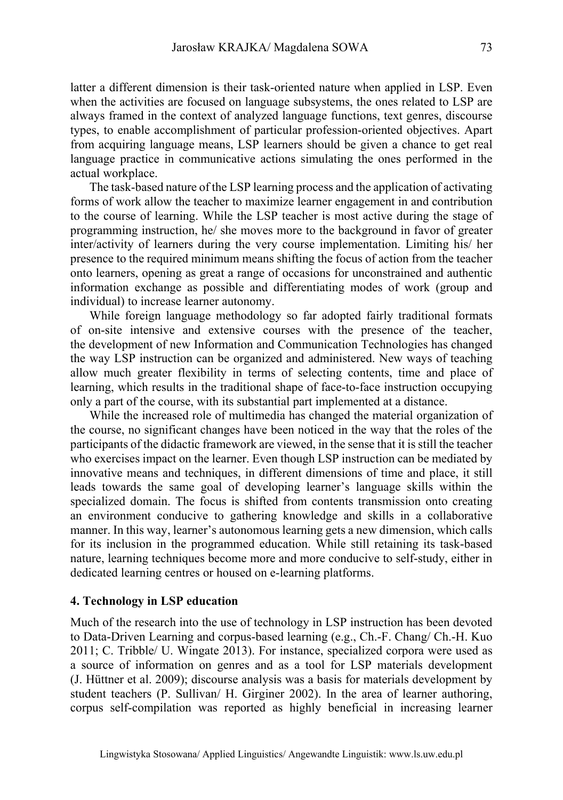latter a different dimension is their task-oriented nature when applied in LSP. Even when the activities are focused on language subsystems, the ones related to LSP are always framed in the context of analyzed language functions, text genres, discourse types, to enable accomplishment of particular profession-oriented objectives. Apart from acquiring language means, LSP learners should be given a chance to get real language practice in communicative actions simulating the ones performed in the actual workplace.

The task-based nature of the LSP learning process and the application of activating forms of work allow the teacher to maximize learner engagement in and contribution to the course of learning. While the LSP teacher is most active during the stage of programming instruction, he/ she moves more to the background in favor of greater inter/activity of learners during the very course implementation. Limiting his/ her presence to the required minimum means shifting the focus of action from the teacher onto learners, opening as great a range of occasions for unconstrained and authentic information exchange as possible and differentiating modes of work (group and individual) to increase learner autonomy.

While foreign language methodology so far adopted fairly traditional formats of on-site intensive and extensive courses with the presence of the teacher, the development of new Information and Communication Technologies has changed the way LSP instruction can be organized and administered. New ways of teaching allow much greater flexibility in terms of selecting contents, time and place of learning, which results in the traditional shape of face-to-face instruction occupying only a part of the course, with its substantial part implemented at a distance.

While the increased role of multimedia has changed the material organization of the course, no significant changes have been noticed in the way that the roles of the participants of the didactic framework are viewed, in the sense that it is still the teacher who exercises impact on the learner. Even though LSP instruction can be mediated by innovative means and techniques, in different dimensions of time and place, it still leads towards the same goal of developing learner's language skills within the specialized domain. The focus is shifted from contents transmission onto creating an environment conducive to gathering knowledge and skills in a collaborative manner. In this way, learner's autonomous learning gets a new dimension, which calls for its inclusion in the programmed education. While still retaining its task-based nature, learning techniques become more and more conducive to self-study, either in dedicated learning centres or housed on e-learning platforms.

### **4. Technology in LSP education**

Much of the research into the use of technology in LSP instruction has been devoted to Data-Driven Learning and corpus-based learning (e.g., Ch.-F. Chang/ Ch.-H. Kuo 2011; C. Tribble/ U. Wingate 2013). For instance, specialized corpora were used as a source of information on genres and as a tool for LSP materials development (J. Hüttner et al. 2009); discourse analysis was a basis for materials development by student teachers (P. Sullivan/ H. Girginer 2002). In the area of learner authoring, corpus self-compilation was reported as highly beneficial in increasing learner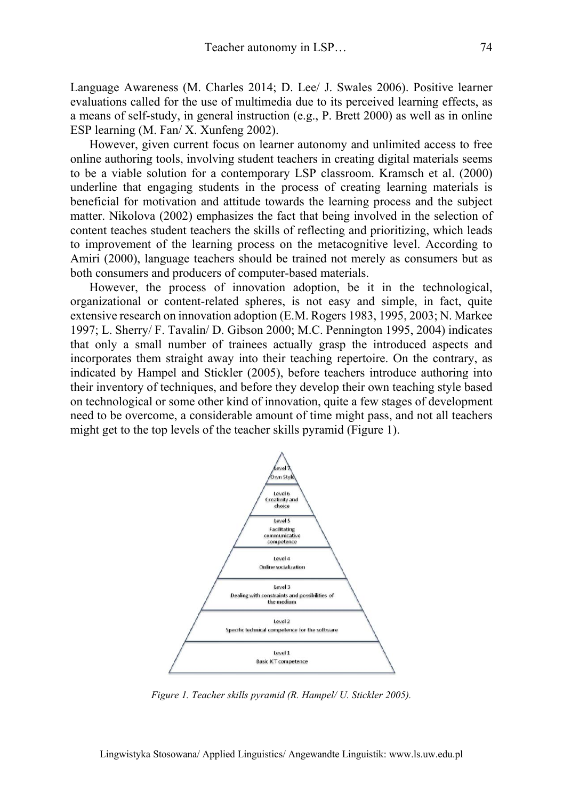Language Awareness (M. Charles 2014; D. Lee/ J. Swales 2006). Positive learner evaluations called for the use of multimedia due to its perceived learning effects, as a means of self-study, in general instruction (e.g., P. Brett 2000) as well as in online ESP learning (M. Fan/ X. Xunfeng 2002).

However, given current focus on learner autonomy and unlimited access to free online authoring tools, involving student teachers in creating digital materials seems to be a viable solution for a contemporary LSP classroom. Kramsch et al. (2000) underline that engaging students in the process of creating learning materials is beneficial for motivation and attitude towards the learning process and the subject matter. Nikolova (2002) emphasizes the fact that being involved in the selection of content teaches student teachers the skills of reflecting and prioritizing, which leads to improvement of the learning process on the metacognitive level. According to Amiri (2000), language teachers should be trained not merely as consumers but as both consumers and producers of computer-based materials.

However, the process of innovation adoption, be it in the technological, organizational or content-related spheres, is not easy and simple, in fact, quite extensive research on innovation adoption (E.M. Rogers 1983, 1995, 2003; N. Markee 1997; L. Sherry/ F. Tavalin/ D. Gibson 2000; M.C. Pennington 1995, 2004) indicates that only a small number of trainees actually grasp the introduced aspects and incorporates them straight away into their teaching repertoire. On the contrary, as indicated by Hampel and Stickler (2005), before teachers introduce authoring into their inventory of techniques, and before they develop their own teaching style based on technological or some other kind of innovation, quite a few stages of development need to be overcome, a considerable amount of time might pass, and not all teachers might get to the top levels of the teacher skills pyramid (Figure 1).



*Figure 1. Teacher skills pyramid (R. Hampel/ U. Stickler 2005).*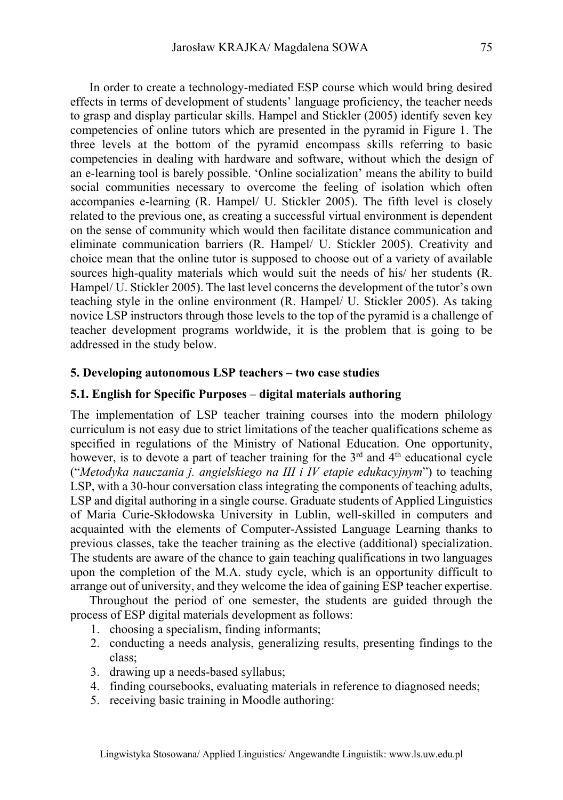In order to create a technology-mediated ESP course which would bring desired effects in terms of development of students' language proficiency, the teacher needs to grasp and display particular skills. Hampel and Stickler (2005) identify seven key competencies of online tutors which are presented in the pyramid in Figure 1. The three levels at the bottom of the pyramid encompass skills referring to basic competencies in dealing with hardware and software, without which the design of an e-learning tool is barely possible. 'Online socialization' means the ability to build social communities necessary to overcome the feeling of isolation which often accompanies e-learning (R. Hampel/ U. Stickler 2005). The fifth level is closely related to the previous one, as creating a successful virtual environment is dependent on the sense of community which would then facilitate distance communication and eliminate communication barriers (R. Hampel/ U. Stickler 2005). Creativity and choice mean that the online tutor is supposed to choose out of a variety of available sources high-quality materials which would suit the needs of his/ her students (R. Hampel/ U. Stickler 2005). The last level concerns the development of the tutor's own teaching style in the online environment (R. Hampel/ U. Stickler 2005). As taking novice LSP instructors through those levels to the top of the pyramid is a challenge of teacher development programs worldwide, it is the problem that is going to be addressed in the study below.

### **5. Developing autonomous LSP teachers – two case studies**

#### **5.1. English for Specific Purposes – digital materials authoring**

The implementation of LSP teacher training courses into the modern philology curriculum is not easy due to strict limitations of the teacher qualifications scheme as specified in regulations of the Ministry of National Education. One opportunity, however, is to devote a part of teacher training for the  $3<sup>rd</sup>$  and  $4<sup>th</sup>$  educational cycle ("*Metodyka nauczania j. angielskiego na III i IV etapie edukacyjnym*") to teaching LSP, with a 30-hour conversation class integrating the components of teaching adults, LSP and digital authoring in a single course. Graduate students of Applied Linguistics of Maria Curie-Skłodowska University in Lublin, well-skilled in computers and acquainted with the elements of Computer-Assisted Language Learning thanks to previous classes, take the teacher training as the elective (additional) specialization. The students are aware of the chance to gain teaching qualifications in two languages upon the completion of the M.A. study cycle, which is an opportunity difficult to arrange out of university, and they welcome the idea of gaining ESP teacher expertise.

Throughout the period of one semester, the students are guided through the process of ESP digital materials development as follows:

- 1. choosing a specialism, finding informants;
- 2. conducting a needs analysis, generalizing results, presenting findings to the class;
- 3. drawing up a needs-based syllabus;
- 4. finding coursebooks, evaluating materials in reference to diagnosed needs;
- 5. receiving basic training in Moodle authoring: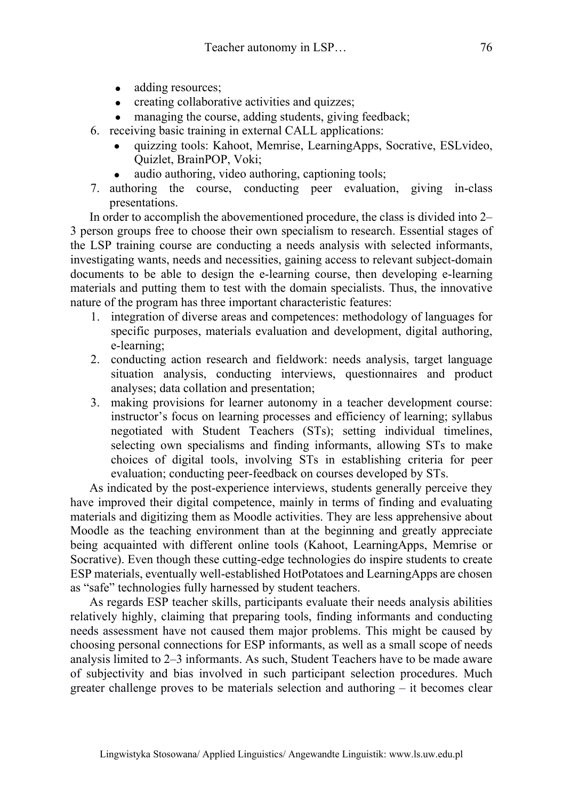- adding resources:
- creating collaborative activities and quizzes:
- managing the course, adding students, giving feedback;
- 6. receiving basic training in external CALL applications:
	- quizzing tools: Kahoot, Memrise, LearningApps, Socrative, ESLvideo, Quizlet, BrainPOP, Voki;
	- audio authoring, video authoring, captioning tools;
- 7. authoring the course, conducting peer evaluation, giving in-class presentations.

In order to accomplish the abovementioned procedure, the class is divided into 2– 3 person groups free to choose their own specialism to research. Essential stages of the LSP training course are conducting a needs analysis with selected informants, investigating wants, needs and necessities, gaining access to relevant subject-domain documents to be able to design the e-learning course, then developing e-learning materials and putting them to test with the domain specialists. Thus, the innovative nature of the program has three important characteristic features:

- 1. integration of diverse areas and competences: methodology of languages for specific purposes, materials evaluation and development, digital authoring, e-learning;
- 2. conducting action research and fieldwork: needs analysis, target language situation analysis, conducting interviews, questionnaires and product analyses; data collation and presentation;
- 3. making provisions for learner autonomy in a teacher development course: instructor's focus on learning processes and efficiency of learning; syllabus negotiated with Student Teachers (STs); setting individual timelines, selecting own specialisms and finding informants, allowing STs to make choices of digital tools, involving STs in establishing criteria for peer evaluation; conducting peer-feedback on courses developed by STs.

As indicated by the post-experience interviews, students generally perceive they have improved their digital competence, mainly in terms of finding and evaluating materials and digitizing them as Moodle activities. They are less apprehensive about Moodle as the teaching environment than at the beginning and greatly appreciate being acquainted with different online tools (Kahoot, LearningApps, Memrise or Socrative). Even though these cutting-edge technologies do inspire students to create ESP materials, eventually well-established HotPotatoes and LearningApps are chosen as "safe" technologies fully harnessed by student teachers.

As regards ESP teacher skills, participants evaluate their needs analysis abilities relatively highly, claiming that preparing tools, finding informants and conducting needs assessment have not caused them major problems. This might be caused by choosing personal connections for ESP informants, as well as a small scope of needs analysis limited to 2–3 informants. As such, Student Teachers have to be made aware of subjectivity and bias involved in such participant selection procedures. Much greater challenge proves to be materials selection and authoring – it becomes clear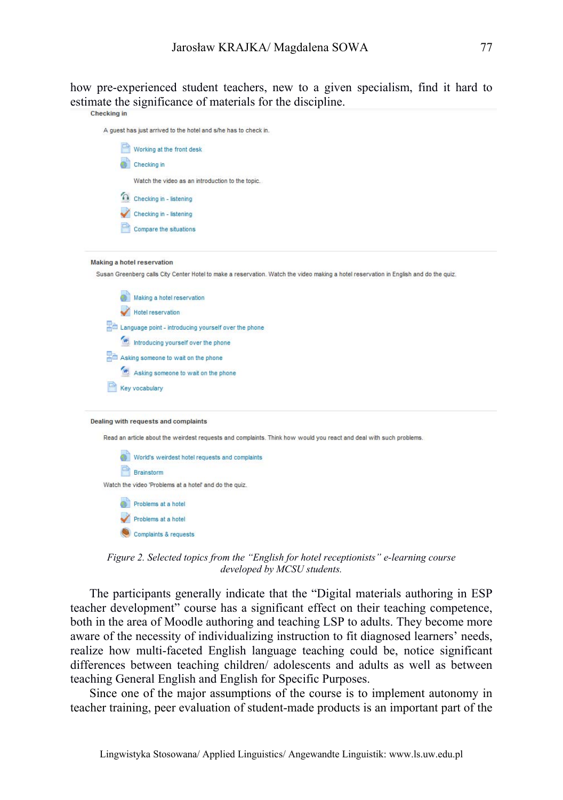how pre-experienced student teachers, new to a given specialism, find it hard to estimate the significance of materials for the discipline.<br>
<sub>Checking in</sub>



#### Making a hotel reservation

Susan Greenberg calls City Center Hotel to make a reservation. Watch the video making a hotel reservation in English and do the quiz.

|  | Making a hotel reservation                           |
|--|------------------------------------------------------|
|  | Hotel reservation                                    |
|  | Language point - introducing yourself over the phone |
|  | Introducing yourself over the phone                  |
|  | Asking someone to wait on the phone                  |
|  | Asking someone to wait on the phone                  |
|  | Key vocabulary                                       |

Dealing with requests and complaints

Read an article about the weirdest requests and complaints. Think how would you react and deal with such problems.



*Figure 2. Selected topics from the "English for hotel receptionists" e-learning course developed by MCSU students.*

The participants generally indicate that the "Digital materials authoring in ESP teacher development" course has a significant effect on their teaching competence, both in the area of Moodle authoring and teaching LSP to adults. They become more aware of the necessity of individualizing instruction to fit diagnosed learners' needs, realize how multi-faceted English language teaching could be, notice significant differences between teaching children/ adolescents and adults as well as between teaching General English and English for Specific Purposes.

Since one of the major assumptions of the course is to implement autonomy in teacher training, peer evaluation of student-made products is an important part of the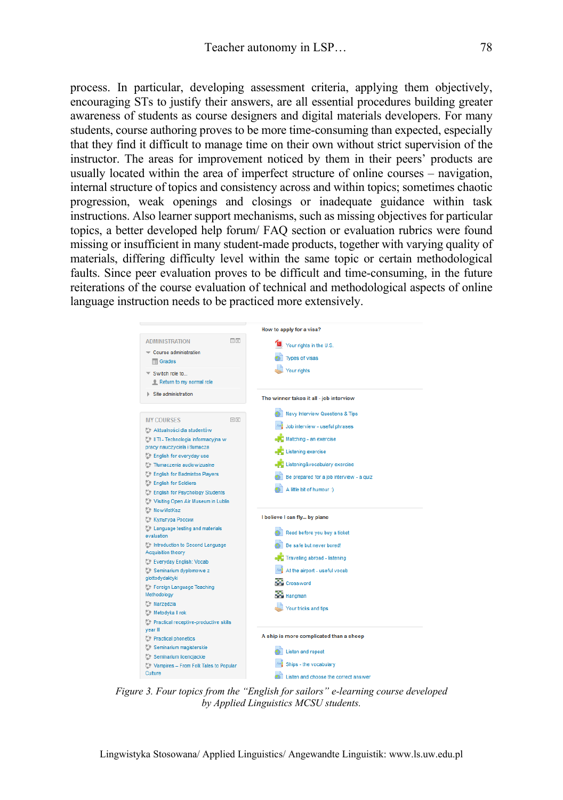process. In particular, developing assessment criteria, applying them objectively, encouraging STs to justify their answers, are all essential procedures building greater awareness of students as course designers and digital materials developers. For many students, course authoring proves to be more time-consuming than expected, especially that they find it difficult to manage time on their own without strict supervision of the instructor. The areas for improvement noticed by them in their peers' products are usually located within the area of imperfect structure of online courses – navigation, internal structure of topics and consistency across and within topics; sometimes chaotic progression, weak openings and closings or inadequate guidance within task instructions. Also learner support mechanisms, such as missing objectives for particular topics, a better developed help forum/ FAQ section or evaluation rubrics were found missing or insufficient in many student-made products, together with varying quality of materials, differing difficulty level within the same topic or certain methodological faults. Since peer evaluation proves to be difficult and time-consuming, in the future reiterations of the course evaluation of technical and methodological aspects of online language instruction needs to be practiced more extensively.



*Figure 3. Four topics from the "English for sailors" e-learning course developed by Applied Linguistics MCSU students.*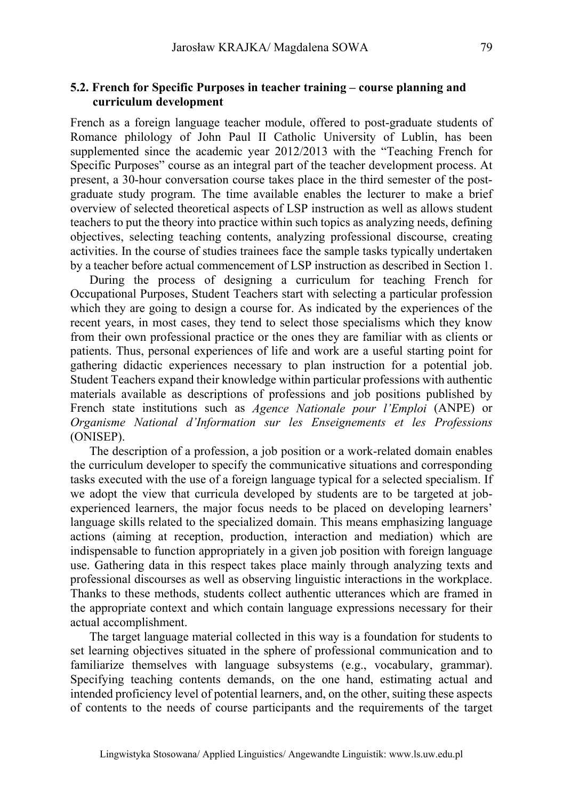### **5.2. French for Specific Purposes in teacher training – course planning and curriculum development**

French as a foreign language teacher module, offered to post-graduate students of Romance philology of John Paul II Catholic University of Lublin, has been supplemented since the academic year 2012/2013 with the "Teaching French for Specific Purposes" course as an integral part of the teacher development process. At present, a 30-hour conversation course takes place in the third semester of the postgraduate study program. The time available enables the lecturer to make a brief overview of selected theoretical aspects of LSP instruction as well as allows student teachers to put the theory into practice within such topics as analyzing needs, defining objectives, selecting teaching contents, analyzing professional discourse, creating activities. In the course of studies trainees face the sample tasks typically undertaken by a teacher before actual commencement of LSP instruction as described in Section 1.

During the process of designing a curriculum for teaching French for Occupational Purposes, Student Teachers start with selecting a particular profession which they are going to design a course for. As indicated by the experiences of the recent years, in most cases, they tend to select those specialisms which they know from their own professional practice or the ones they are familiar with as clients or patients. Thus, personal experiences of life and work are a useful starting point for gathering didactic experiences necessary to plan instruction for a potential job. Student Teachers expand their knowledge within particular professions with authentic materials available as descriptions of professions and job positions published by French state institutions such as *Agence Nationale pour l'Emploi* (ANPE) or *Organisme National d'Information sur les Enseignements et les Professions* (ONISEP).

The description of a profession, a job position or a work-related domain enables the curriculum developer to specify the communicative situations and corresponding tasks executed with the use of a foreign language typical for a selected specialism. If we adopt the view that curricula developed by students are to be targeted at jobexperienced learners, the major focus needs to be placed on developing learners' language skills related to the specialized domain. This means emphasizing language actions (aiming at reception, production, interaction and mediation) which are indispensable to function appropriately in a given job position with foreign language use. Gathering data in this respect takes place mainly through analyzing texts and professional discourses as well as observing linguistic interactions in the workplace. Thanks to these methods, students collect authentic utterances which are framed in the appropriate context and which contain language expressions necessary for their actual accomplishment.

The target language material collected in this way is a foundation for students to set learning objectives situated in the sphere of professional communication and to familiarize themselves with language subsystems (e.g., vocabulary, grammar). Specifying teaching contents demands, on the one hand, estimating actual and intended proficiency level of potential learners, and, on the other, suiting these aspects of contents to the needs of course participants and the requirements of the target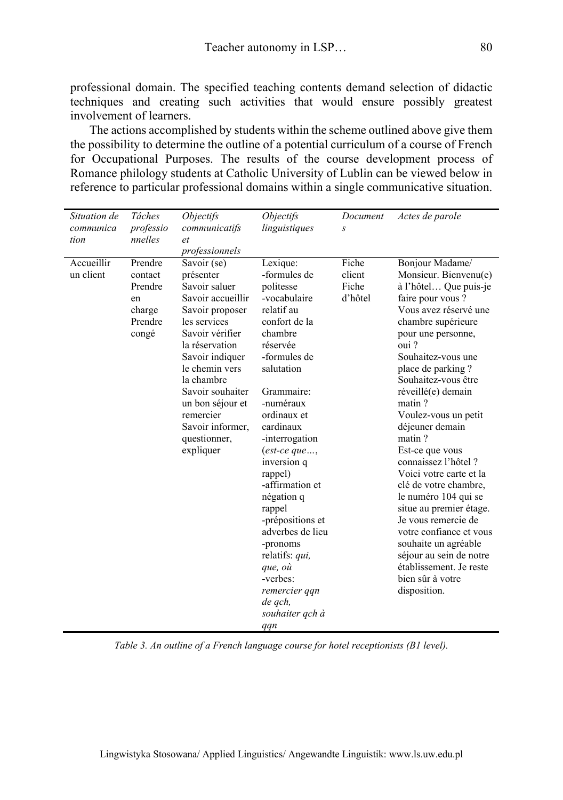professional domain. The specified teaching contents demand selection of didactic techniques and creating such activities that would ensure possibly greatest involvement of learners.

The actions accomplished by students within the scheme outlined above give them the possibility to determine the outline of a potential curriculum of a course of French for Occupational Purposes. The results of the course development process of Romance philology students at Catholic University of Lublin can be viewed below in reference to particular professional domains within a single communicative situation.

| Situation de<br>Tâches<br>Objectifs<br>Objectifs<br>professio<br>linguistiques<br>communicatifs<br>communica<br>S<br>nnelles<br>tion<br>et                                                                                                                                                                                                                                                                                                                                                                                                                                                                                                                                                                                                                                                                                                                                                                          | Actes de parole<br>Document                                                                                                                                                                                                                                                                                                                                                                                                                                                                                                                                                                                                                     |
|---------------------------------------------------------------------------------------------------------------------------------------------------------------------------------------------------------------------------------------------------------------------------------------------------------------------------------------------------------------------------------------------------------------------------------------------------------------------------------------------------------------------------------------------------------------------------------------------------------------------------------------------------------------------------------------------------------------------------------------------------------------------------------------------------------------------------------------------------------------------------------------------------------------------|-------------------------------------------------------------------------------------------------------------------------------------------------------------------------------------------------------------------------------------------------------------------------------------------------------------------------------------------------------------------------------------------------------------------------------------------------------------------------------------------------------------------------------------------------------------------------------------------------------------------------------------------------|
| professionnels<br>Accueillir<br>Fiche<br>Prendre<br>Savoir (se)<br>Lexique:<br>un client<br>-formules de<br>client<br>présenter<br>contact<br>Savoir saluer<br>Fiche<br>Prendre<br>politesse<br>Savoir accueillir<br>-vocabulaire<br>d'hôtel<br>en<br>relatif au<br>charge<br>Savoir proposer<br>confort de la<br>Prendre<br>les services<br>Savoir vérifier<br>chambre<br>congé<br>réservée<br>la réservation<br>-formules de<br>Savoir indiquer<br>le chemin vers<br>salutation<br>la chambre<br>Savoir souhaiter<br>Grammaire:<br>-numéraux<br>un bon séjour et<br>remercier<br>ordinaux et<br>Savoir informer,<br>cardinaux<br>questionner,<br>-interrogation<br>expliquer<br>$(est-ce\, que,$<br>inversion q<br>rappel)<br>-affirmation et<br>négation q<br>rappel<br>-prépositions et<br>adverbes de lieu<br>-pronoms<br>relatifs: qui,<br>que, où<br>-verbes:<br>remercier qqn<br>de qch,<br>souhaiter qch à | Bonjour Madame/<br>Monsieur. Bienvenu(e)<br>à l'hôtel Que puis-je<br>faire pour vous?<br>Vous avez réservé une<br>chambre supérieure<br>pour une personne,<br>oui?<br>Souhaitez-vous une<br>place de parking?<br>Souhaitez-vous être<br>réveillé(e) demain<br>matin?<br>Voulez-vous un petit<br>déjeuner demain<br>matin?<br>Est-ce que vous<br>connaissez l'hôtel ?<br>Voici votre carte et la<br>clé de votre chambre,<br>le numéro 104 qui se<br>situe au premier étage.<br>Je vous remercie de<br>votre confiance et vous<br>souhaite un agréable<br>séjour au sein de notre<br>établissement. Je reste<br>bien sûr à votre<br>disposition. |

*Table 3. An outline of a French language course for hotel receptionists (B1 level).*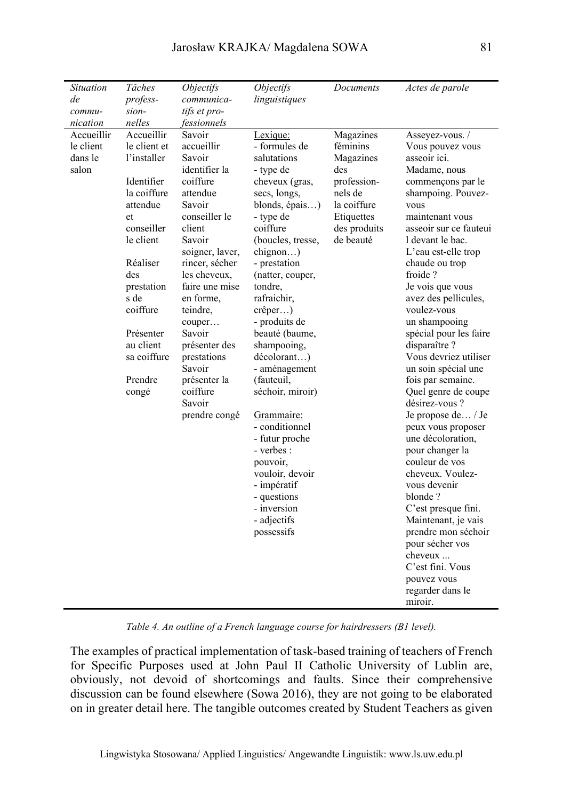| Situation  | Tâches       | Objectifs                | Objectifs             | Documents    | Actes de parole                       |
|------------|--------------|--------------------------|-----------------------|--------------|---------------------------------------|
| de         | profess-     | communica-               | linguistiques         |              |                                       |
| commu-     | sion-        | tifs et pro-             |                       |              |                                       |
| nication   | nelles       | fessionnels              |                       |              |                                       |
| Accueillir | Accueillir   | Savoir                   | Lexique:              | Magazines    | Asseyez-vous. /                       |
| le client  | le client et | accueillir               | - formules de         | féminins     | Vous pouvez vous                      |
| dans le    | l'installer  | Savoir                   | salutations           | Magazines    | asseoir ici.                          |
| salon      |              | identifier la            | - type de             | des          | Madame, nous                          |
|            | Identifier   | coiffure                 | cheveux (gras,        | profession-  | commençons par le                     |
|            | la coiffure  | attendue                 | secs, longs,          | nels de      | shampoing. Pouvez-                    |
|            | attendue     | Savoir                   | blonds, épais)        | la coiffure  | vous                                  |
|            | et           | conseiller le            | - type de             | Etiquettes   | maintenant vous                       |
|            | conseiller   | client                   | coiffure              | des produits | asseoir sur ce fauteui                |
|            | le client    | Savoir                   | (boucles, tresse,     | de beauté    | 1 devant le bac.                      |
|            |              | soigner, laver,          | chignon)              |              | L'eau est-elle trop                   |
|            | Réaliser     | rincer, sécher           | - prestation          |              | chaude ou trop                        |
|            | des          | les cheveux,             | (natter, couper,      |              | froide?                               |
|            | prestation   | faire une mise           | tondre,               |              | Je vois que vous                      |
|            | s de         | en forme,                | rafraichir,           |              | avez des pellicules,                  |
|            | coiffure     | teindre,                 | $crêper$ )            |              | voulez-vous                           |
|            |              | couper                   | - produits de         |              | un shampooing                         |
|            | Présenter    | Savoir                   | beauté (baume,        |              | spécial pour les faire                |
|            | au client    | présenter des            | shampooing,           |              | disparaître ?                         |
|            | sa coiffure  | prestations              | $d\acute{e}colorant)$ |              | Vous devriez utiliser                 |
|            | Prendre      | Savoir                   | - aménagement         |              | un soin spécial une                   |
|            |              | présenter la<br>coiffure | (fauteuil,            |              | fois par semaine.                     |
|            | congé        | Savoir                   | séchoir, miroir)      |              | Quel genre de coupe<br>désirez-vous ? |
|            |              | prendre congé            | Grammaire:            |              | Je propose de / Je                    |
|            |              |                          | - conditionnel        |              | peux vous proposer                    |
|            |              |                          | - futur proche        |              | une décoloration,                     |
|            |              |                          | - verbes :            |              | pour changer la                       |
|            |              |                          | pouvoir,              |              | couleur de vos                        |
|            |              |                          | vouloir, devoir       |              | cheveux. Voulez-                      |
|            |              |                          | - impératif           |              | vous devenir                          |
|            |              |                          | - questions           |              | blonde?                               |
|            |              |                          | - inversion           |              | C'est presque fini.                   |
|            |              |                          | - adjectifs           |              | Maintenant, je vais                   |
|            |              |                          | possessifs            |              | prendre mon séchoir                   |
|            |              |                          |                       |              | pour sécher vos                       |
|            |              |                          |                       |              | cheveux                               |
|            |              |                          |                       |              | C'est fini. Vous                      |
|            |              |                          |                       |              | pouvez vous                           |
|            |              |                          |                       |              | regarder dans le                      |
|            |              |                          |                       |              | miroir.                               |

*Table 4. An outline of a French language course for hairdressers (B1 level).* 

The examples of practical implementation of task-based training of teachers of French for Specific Purposes used at John Paul II Catholic University of Lublin are, obviously, not devoid of shortcomings and faults. Since their comprehensive discussion can be found elsewhere (Sowa 2016), they are not going to be elaborated on in greater detail here. The tangible outcomes created by Student Teachers as given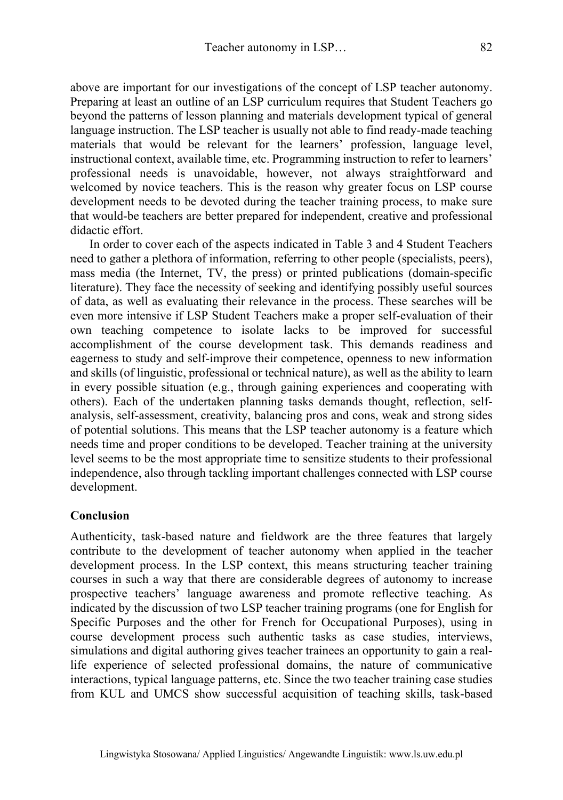above are important for our investigations of the concept of LSP teacher autonomy. Preparing at least an outline of an LSP curriculum requires that Student Teachers go beyond the patterns of lesson planning and materials development typical of general language instruction. The LSP teacher is usually not able to find ready-made teaching materials that would be relevant for the learners' profession, language level, instructional context, available time, etc. Programming instruction to refer to learners' professional needs is unavoidable, however, not always straightforward and welcomed by novice teachers. This is the reason why greater focus on LSP course development needs to be devoted during the teacher training process, to make sure that would-be teachers are better prepared for independent, creative and professional didactic effort.

In order to cover each of the aspects indicated in Table 3 and 4 Student Teachers need to gather a plethora of information, referring to other people (specialists, peers), mass media (the Internet, TV, the press) or printed publications (domain-specific literature). They face the necessity of seeking and identifying possibly useful sources of data, as well as evaluating their relevance in the process. These searches will be even more intensive if LSP Student Teachers make a proper self-evaluation of their own teaching competence to isolate lacks to be improved for successful accomplishment of the course development task. This demands readiness and eagerness to study and self-improve their competence, openness to new information and skills (of linguistic, professional or technical nature), as well as the ability to learn in every possible situation (e.g., through gaining experiences and cooperating with others). Each of the undertaken planning tasks demands thought, reflection, selfanalysis, self-assessment, creativity, balancing pros and cons, weak and strong sides of potential solutions. This means that the LSP teacher autonomy is a feature which needs time and proper conditions to be developed. Teacher training at the university level seems to be the most appropriate time to sensitize students to their professional independence, also through tackling important challenges connected with LSP course development.

### **Conclusion**

Authenticity, task-based nature and fieldwork are the three features that largely contribute to the development of teacher autonomy when applied in the teacher development process. In the LSP context, this means structuring teacher training courses in such a way that there are considerable degrees of autonomy to increase prospective teachers' language awareness and promote reflective teaching. As indicated by the discussion of two LSP teacher training programs (one for English for Specific Purposes and the other for French for Occupational Purposes), using in course development process such authentic tasks as case studies, interviews, simulations and digital authoring gives teacher trainees an opportunity to gain a reallife experience of selected professional domains, the nature of communicative interactions, typical language patterns, etc. Since the two teacher training case studies from KUL and UMCS show successful acquisition of teaching skills, task-based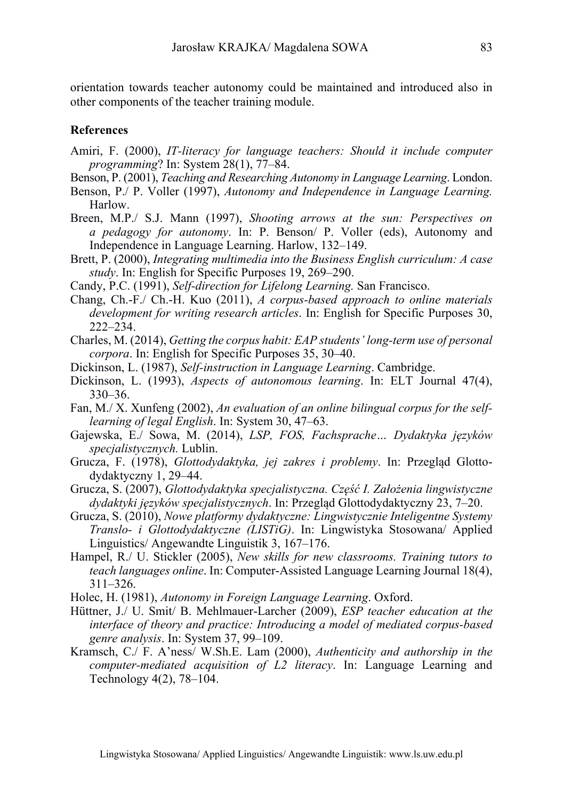orientation towards teacher autonomy could be maintained and introduced also in other components of the teacher training module.

### **References**

- Amiri, F. (2000), *IT-literacy for language teachers: Should it include computer programming*? In: System 28(1), 77–84.
- Benson, P. (2001), *Teaching and Researching Autonomy in Language Learning*. London.
- Benson, P./ P. Voller (1997), *Autonomy and Independence in Language Learning.* **Harlow**
- Breen, M.P./ S.J. Mann (1997), *Shooting arrows at the sun: Perspectives on a pedagogy for autonomy*. In: P. Benson/ P. Voller (eds), Autonomy and Independence in Language Learning. Harlow, 132–149.
- Brett, P. (2000), *Integrating multimedia into the Business English curriculum: A case study*. In: English for Specific Purposes 19, 269–290.
- Candy, P.C. (1991), *Self-direction for Lifelong Learning.* San Francisco.
- Chang, Ch.-F./ Ch.-H. Kuo (2011), *A corpus-based approach to online materials development for writing research articles*. In: English for Specific Purposes 30,  $222 - 234$ .
- Charles, M. (2014), *Getting the corpus habit: EAP students' long-term use of personal corpora*. In: English for Specific Purposes 35, 30–40.
- Dickinson, L. (1987), *Self-instruction in Language Learning*. Cambridge.
- Dickinson, L. (1993), *Aspects of autonomous learning*. In: ELT Journal 47(4), 330–36.
- Fan, M./ X. Xunfeng (2002), *An evaluation of an online bilingual corpus for the selflearning of legal English*. In: System 30, 47–63.
- Gajewska, E./ Sowa, M. (2014), *LSP, FOS, Fachsprache… Dydaktyka języków specjalistycznych.* Lublin.
- Grucza, F. (1978), *Glottodydaktyka, jej zakres i problemy*. In: Przegląd Glottodydaktyczny 1, 29–44.
- Grucza, S. (2007), *Glottodydaktyka specjalistyczna. Część I. Założenia lingwistyczne dydaktyki języków specjalistycznych*. In: Przegląd Glottodydaktyczny 23, 7–20.
- Grucza, S. (2010), *Nowe platformy dydaktyczne: Lingwistycznie Inteligentne Systemy Translo- i Glottodydaktyczne (LISTiG)*. In: Lingwistyka Stosowana/ Applied Linguistics/ Angewandte Linguistik 3, 167–176.
- Hampel, R./ U. Stickler (2005), *New skills for new classrooms. Training tutors to teach languages online*. In: Computer-Assisted Language Learning Journal 18(4), 311–326.
- Holec, H. (1981), *Autonomy in Foreign Language Learning*. Oxford.
- Hüttner, J./ U. Smit/ B. Mehlmauer-Larcher (2009), *ESP teacher education at the interface of theory and practice: Introducing a model of mediated corpus-based genre analysis*. In: System 37, 99–109.
- Kramsch, C./ F. A'ness/ W.Sh.E. Lam (2000), *Authenticity and authorship in the computer-mediated acquisition of L2 literacy*. In: Language Learning and Technology 4(2), 78–104.